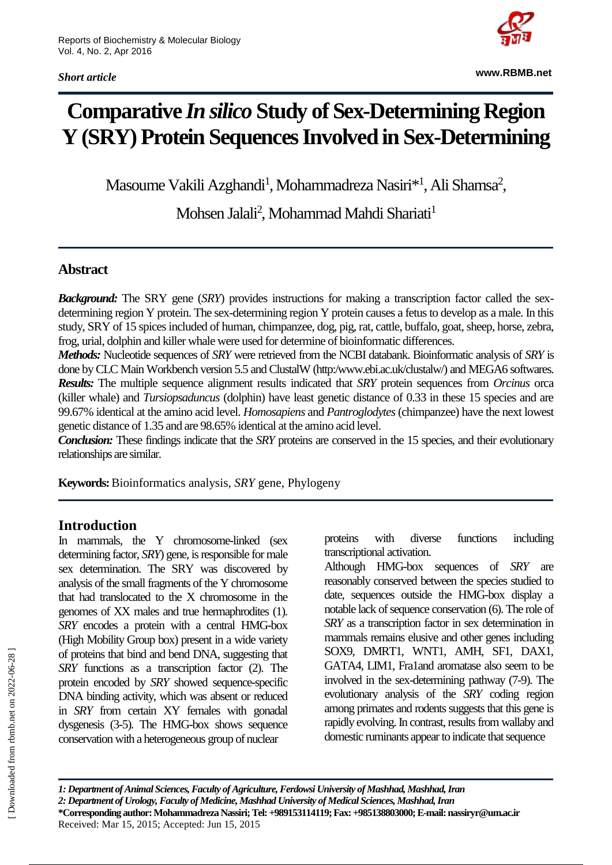*Short article*



**www.RBMB.net**

# **Comparative** *In silico* **Study of Sex-Determining Region Y (SRY) Protein Sequences Involved in Sex-Determining**

Masoume Vakili Azghandi<sup>1</sup>, Mohammadreza Nasiri<sup>\*1</sup>, Ali Shamsa<sup>2</sup>,

Mohsen Jalali<sup>2</sup>, Mohammad Mahdi Shariati<sup>1</sup>

## **Abstract**

*Background:* The SRY gene (*SRY*) provides instructions for making a transcription factor called the sexdetermining region Y protein. The sex-determining region Y protein causes a fetus to develop as a male. In this study, SRY of 15 spices included of human, chimpanzee, dog, pig, rat, cattle, buffalo, goat, sheep, horse, zebra, frog, urial, dolphin and killer whale were used for determine of bioinformatic differences.

*Methods:* Nucleotide sequences of *SRY* were retrieved from the NCBI databank. Bioinformatic analysis of *SRY* is done by CLC Main Workbench version 5.5 and ClustalW (http:/www.ebi.ac.uk/clustalw/) and MEGA6 softwares. *Results:* The multiple sequence alignment results indicated that *SRY* protein sequences from *Orcinus* orca (killer whale) and *Tursiopsaduncus* (dolphin) have least genetic distance of 0.33 in these 15 species and are 99.67% identical at the amino acid level. *Homosapiens* and *Pantroglodytes*(chimpanzee) have the next lowest genetic distance of 1.35 and are 98.65% identical at the amino acid level.

*Conclusion:* These findings indicate that the *SRY* proteins are conserved in the 15 species, and their evolutionary relationships are similar.

**Keywords:**Bioinformatics analysis, *SRY* gene, Phylogeny

## **Introduction**

In mammals, the Y chromosome-linked (sex determining factor, *SRY*) gene, is responsible for male sex determination. The SRY was discovered by analysis of the small fragments of the Y chromosome that had translocated to the X chromosome in the genomes of XX males and true hermaphrodites (1). *SRY* encodes a protein with a central HMG-box (High Mobility Group box) present in a wide variety of proteins that bind and bend DNA, suggesting that *SRY* functions as a transcription factor (2). The protein encoded by *SRY* showed sequence-specific DNA binding activity, which was absent or reduced in *SRY* from certain XY females with gonadal dysgenesis (3-5). The HMG-box shows sequence conservation with a heterogeneous group of nuclear

proteins with diverse functions including transcriptional activation.

Although HMG-box sequences of *SRY* are reasonably conserved between the species studied to date, sequences outside the HMG-box display a notable lack of sequence conservation (6). The role of *SRY* as a transcription factor in sex determination in mammals remains elusive and other genes including SOX9, DMRT1, WNT1, AMH, SF1, DAX1, GATA4, LIM1, Fra1and aromatase also seem to be involved in the sex-determining pathway (7-9). The evolutionary analysis of the *SRY* coding region among primates and rodents suggests that this gene is rapidly evolving. In contrast, results from wallaby and domestic ruminants appear to indicate that sequence

*1: Department of Animal Sciences, Faculty of Agriculture, Ferdowsi University of Mashhad, Mashhad, Iran 2: Department of Urology, Faculty of Medicine, Mashhad University of Medical Sciences, Mashhad, Iran* **\*Corresponding author: MohammadrezaNassiri; Tel: +989153114119; Fax: +985138803000;E-mail: nassiryr@um.ac.ir** Received: Mar 15, 2015; Accepted: Jun 15, 2015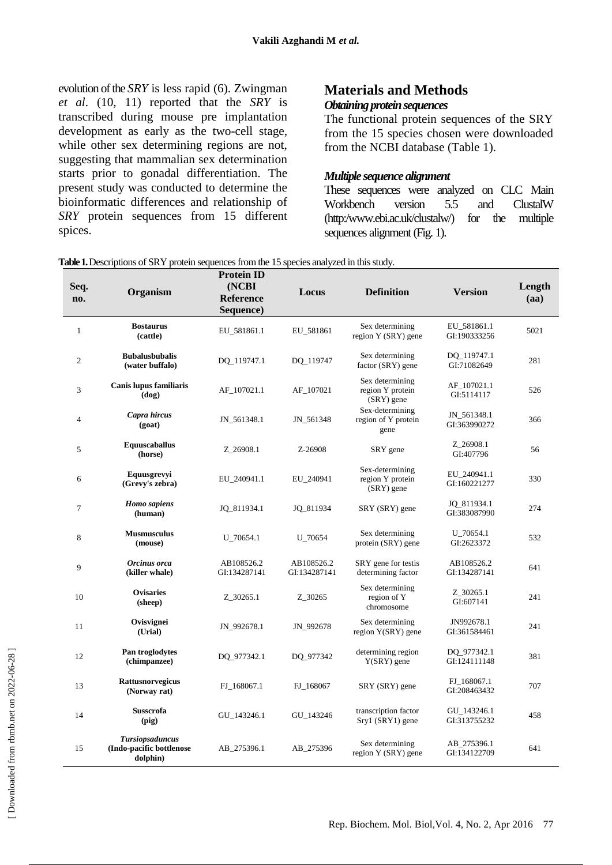evolution of the *SRY* is less rapid (6). Zwingman *et al*. (10, 11) reported that the *SRY* is transcribed during mouse pre implantation development as early as the two-cell stage, while other sex determining regions are not, suggesting that mammalian sex determination starts prior to gonadal differentiation. The present study was conducted to determine the bioinformatic differences and relationship of *SRY* protein sequences from 15 different spices.

## **Materials and Methods**

## *Obtaining protein sequences*

The functional protein sequences of the SRY from the 15 species chosen were downloaded from the NCBI database (Table 1).

## *Multiple sequence alignment*

These sequences were analyzed on CLC Main Workbench version 5.5 and ClustalW (http:/www.ebi.ac.uk/clustalw/) for the multiple sequences alignment (Fig. 1).

| Seq.<br>no.    | Organism                                                       | <b>Protein ID</b><br>(NCBI<br>Reference<br>Sequence) | Locus                      | <b>Definition</b>                                   | <b>Version</b>              | Length<br>(aa)<br>5021 |  |
|----------------|----------------------------------------------------------------|------------------------------------------------------|----------------------------|-----------------------------------------------------|-----------------------------|------------------------|--|
| $\mathbf{1}$   | <b>Bostaurus</b><br>(cattle)                                   | EU_581861.1                                          | EU_581861                  | Sex determining<br>region Y (SRY) gene              | EU_581861.1<br>GI:190333256 |                        |  |
| $\mathfrak{2}$ | <b>Bubalusbubalis</b><br>(water buffalo)                       | DQ_119747.1                                          | DQ_119747                  | Sex determining<br>factor (SRY) gene                | DQ_119747.1<br>GI:71082649  | 281                    |  |
| 3              | Canis lupus familiaris<br>$dog$                                | AF_107021.1                                          | AF_107021                  | Sex determining<br>region Y protein<br>(SRY) gene   | AF_107021.1<br>GI:5114117   | 526                    |  |
| 4              | Capra hircus<br>(goat)                                         | JN_561348.1                                          | JN_561348                  | Sex-determining<br>region of Y protein<br>gene      | JN_561348.1<br>GI:363990272 | 366                    |  |
| 5              | <b>Equuscaballus</b><br>(horse)                                | Z_26908.1                                            | Z-26908                    | SRY gene                                            | Z_26908.1<br>GI:407796      | 56                     |  |
| 6              | Equusgrevyi<br>(Grevy's zebra)                                 | EU_240941.1                                          | EU_240941                  | Sex-determining<br>region Y protein<br>$(SRY)$ gene | EU 240941.1<br>GI:160221277 | 330                    |  |
| 7              | <b>Homo</b> sapiens<br>(human)                                 | JQ_811934.1                                          | JQ_811934                  | SRY (SRY) gene                                      | JQ_811934.1<br>GI:383087990 | 274                    |  |
| 8              | <b>Musmusculus</b><br>(mouse)                                  | $U_70654.1$                                          | U_70654                    | Sex determining<br>protein (SRY) gene               | U 70654.1<br>GI:2623372     | 532                    |  |
| 9              | Orcinus orca<br>(killer whale)                                 | AB108526.2<br>GI:134287141                           | AB108526.2<br>GI:134287141 | SRY gene for testis<br>determining factor           | AB108526.2<br>GI:134287141  | 641                    |  |
| 10             | <b>Ovisaries</b><br>(sheep)                                    | Z_30265.1                                            | Z_30265                    | Sex determining<br>region of Y<br>chromosome        | Z_30265.1<br>GI:607141      | 241                    |  |
| 11             | Ovisvignei<br>(Urial)                                          | JN_992678.1                                          | JN_992678                  | Sex determining<br>region Y(SRY) gene               | JN992678.1<br>GI:361584461  | 241                    |  |
| 12             | Pan troglodytes<br>(chimpanzee)                                | DQ_977342.1                                          | DQ_977342                  | determining region<br>$Y(SRY)$ gene                 | DQ_977342.1<br>GI:124111148 | 381                    |  |
| 13             | <b>Rattusnorvegicus</b><br>(Norway rat)                        | FJ_168067.1                                          | FJ_168067                  | SRY (SRY) gene                                      | FJ_168067.1<br>GI:208463432 | 707                    |  |
| 14             | <b>Susscrofa</b><br>(pig)                                      | GU_143246.1                                          | GU_143246                  | transcription factor<br>Sry1 (SRY1) gene            | GU_143246.1<br>GI:313755232 | 458                    |  |
| 15             | <b>Tursiopsaduncus</b><br>(Indo-pacific bottlenose<br>dolphin) | AB_275396.1                                          | AB_275396                  | Sex determining<br>region Y (SRY) gene              | AB_275396.1<br>GI:134122709 | 641                    |  |

**Table 1.**Descriptions of SRY protein sequences from the 15 species analyzed in this study.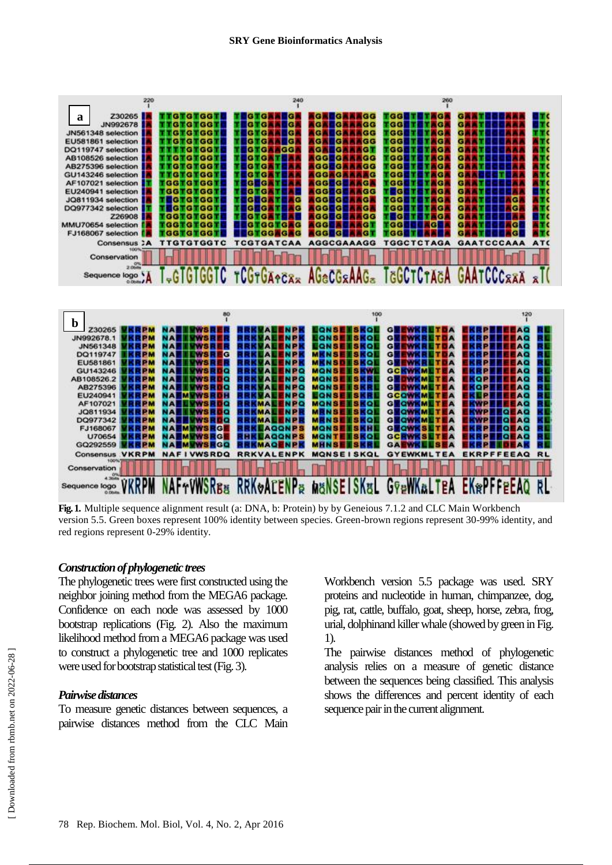

**Fig. 1.** Multiple sequence alignment result (a: DNA, b: Protein) by by Geneious 7.1.2 and CLC Main Workbench version 5.5. Green boxes represent 100% identity between species. Green-brown regions represent 30-99% identity, and red regions represent 0-29% identity.

#### *Construction of phylogenetic trees*

The phylogenetic trees were first constructed using the neighbor joining method from the MEGA6 package. Confidence on each node was assessed by 1000 bootstrap replications (Fig. 2). Also the maximum likelihood method from a MEGA6 package was used to construct a phylogenetic tree and 1000 replicates were used for bootstrap statistical test (Fig. 3).

#### *Pairwise distances*

To measure genetic distances between sequences, a pairwise distances method from the CLC Main

Workbench version 5.5 package was used. SRY proteins and nucleotide in human, chimpanzee, dog, pig, rat, cattle, buffalo, goat, sheep, horse, zebra, frog, urial, dolphinand killer whale (showed by green in Fig. 1).

The pairwise distances method of phylogenetic analysis relies on a measure of genetic distance between the sequences being classified. This analysis shows the differences and percent identity of each sequence pair in the current alignment.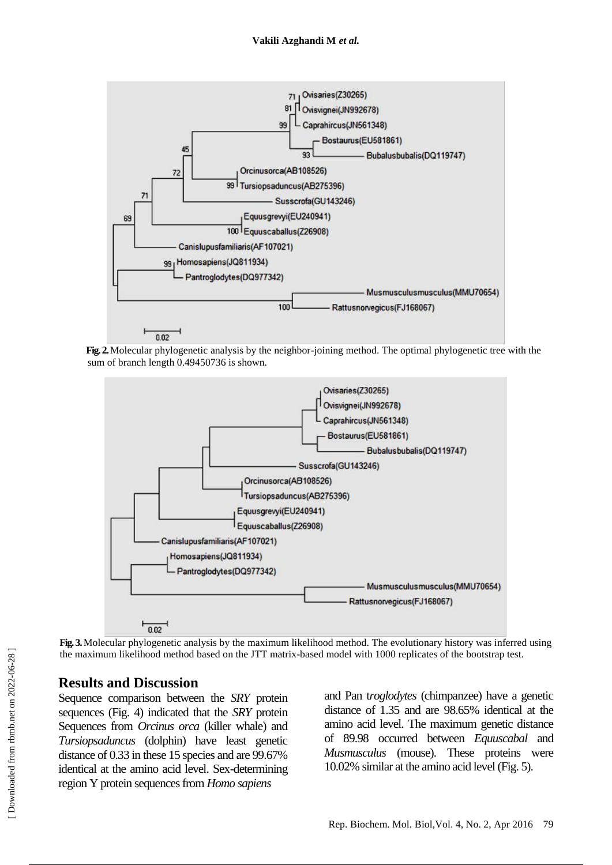

**Fig. 2.**Molecular phylogenetic analysis by the neighbor-joining method. The optimal phylogenetic tree with the sum of branch length 0.49450736 is shown.



**Fig. 3.**Molecular phylogenetic analysis by the maximum likelihood method. The evolutionary history was inferred using the maximum likelihood method based on the JTT matrix-based model with 1000 replicates of the bootstrap test.

## **Results and Discussion**

Sequence comparison between the *SRY* protein sequences (Fig. 4) indicated that the *SRY* protein Sequences from *Orcinus orca* (killer whale) and *Tursiopsaduncus* (dolphin) have least genetic distance of 0.33 in these 15 species and are 99.67% identical at the amino acid level. Sex-determining region Y protein sequences from *Homo sapiens* 

and Pan t*roglodytes* (chimpanzee) have a genetic distance of 1.35 and are 98.65% identical at the amino acid level. The maximum genetic distance of 89.98 occurred between *Equuscabal* and *Musmusculus* (mouse). These proteins were 10.02% similar at the amino acid level (Fig. 5).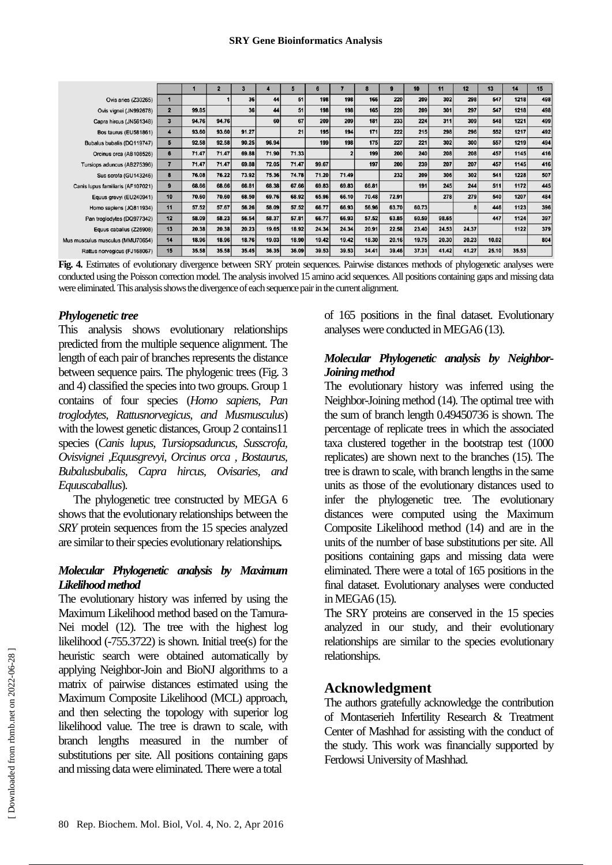|                                   |                         |       |       |       |       |       | 6     |       | 8     |       | 10    | 11    | 12    | 13    | 14    | 15  |
|-----------------------------------|-------------------------|-------|-------|-------|-------|-------|-------|-------|-------|-------|-------|-------|-------|-------|-------|-----|
| Ovis aries (Z30265)               |                         |       |       | 36    | 44    | 51    | 198   | 198   | 166   | 220   | 209   | 302   | 298   | 547   | 1218  | 498 |
| Ovis vignei (JN992678)            | $\overline{2}$          | 99.85 |       | 36    | 44    | 51    | 198   | 198   | 165   | 220   | 209   | 301   | 297   | 547   | 1218  | 498 |
| Capra hircus (JN561348)           | 3                       | 94.76 | 94.76 |       | 60    | 67    | 209   | 209   | 181   | 233   | 224   | 311   | 309   | 548   | 1221  | 499 |
| Bos taurus (EU581861)             | 4                       | 93.60 | 93.60 | 91.27 |       | 21    | 195   | 194   | 171   | 222   | 215   | 298   | 296   | 552   | 1217  | 492 |
| Bubalus bubalis (DQ119747)        | 5                       | 92.58 | 92.58 | 90.25 | 96.94 |       | 199   | 198   | 175   | 227   | 221   | 302   | 300   | 557   | 1219  | 494 |
| Orcinus orca (AB108526)           | 6                       | 71.47 | 71.47 | 69.88 | 71.90 | 71.33 |       |       | 199   | 200   | 240   | 208   | 208   | 457   | 1145  | 416 |
| Tursiops aduncus (AB275396)       | $\overline{\mathbf{z}}$ | 71.47 | 71.47 | 69.88 | 72.05 | 71.47 | 99.67 |       | 197   | 200   | 239   | 207   | 207   | 457   | 1145  | 416 |
| Sus scrofa (GU143246)             | 8                       | 76.08 | 76.22 | 73.92 | 75.36 | 74.78 | 71.20 | 71.49 |       | 232   | 209   | 306   | 302   | 541   | 1228  | 507 |
| Canis lupus familiaris (AF107021) | 9                       | 68.66 | 68.66 | 66.81 | 68.38 | 67.66 | 69.83 | 69.83 | 66.81 |       | 191   | 245   | 244   | 511   | 1172  | 445 |
| Equus grevyi (EU240941)           | 10                      | 70.60 | 70.60 | 68.50 | 69.76 | 68.92 | 65.96 | 66.10 | 70.48 | 72.91 |       | 278   | 279   | 540   | 1207  | 484 |
| Homo sapiens (JQ811934)           | 11                      | 57.52 | 57.67 | 56.26 | 58.09 | 57.52 | 66.77 | 66.93 | 56.96 | 63.70 | 60.73 |       |       | 446   | 1123  | 396 |
| Pan troglodytes (DQ977342)        | 12                      | 58.09 | 58.23 | 56.54 | 58.37 | 57.81 | 66.77 | 66.93 | 57.52 | 63.85 | 60.59 | 98.65 |       | 447   | 1124  | 397 |
| Equus caballus (Z26908)           | 13                      | 20.38 | 20.38 | 20.23 | 19.65 | 18.92 | 24.34 | 24.34 | 20.91 | 22.58 | 23.40 | 24.53 | 24.37 |       | 1122  | 379 |
| Mus musculus musculus (MMU70654)  | 14                      | 18.96 | 18.96 | 18.76 | 19.03 | 18.90 | 19.42 | 19.42 | 18.30 | 20.16 | 19.75 | 20.30 | 20.23 | 10.02 |       | 804 |
| Rattus norvegicus (FJ168067)      | 15                      | 35.58 | 35.58 | 35.45 | 36.35 | 36.09 | 39.53 | 39.53 | 34.41 | 39.46 | 37.31 | 41.42 | 41.27 | 25.10 | 35.53 |     |

**Fig. 4.** Estimates of evolutionary divergence between SRY protein sequences. Pairwise distances methods of phylogenetic analyses were conducted using the Poisson correction model. The analysis involved 15 amino acid sequences. All positions containing gaps and missing data were eliminated. This analysis shows the divergence of each sequence pair in the current alignment.

## *Phylogenetic tree*

This analysis shows evolutionary relationships predicted from the multiple sequence alignment. The length of each pair of branches represents the distance between sequence pairs. The phylogenic trees (Fig. 3 and 4) classified the species into two groups. Group 1 contains of four species (*Homo sapiens, Pan troglodytes, Rattusnorvegicus, and Musmusculus*) with the lowest genetic distances, Group 2 contains 11 species (*Canis lupus, Tursiopsaduncus, Susscrofa, Ovisvignei ,Equusgrevyi, Orcinus orca , Bostaurus, Bubalusbubalis, Capra hircus, Ovisaries, and Equuscaballus*).

The phylogenetic tree constructed by MEGA 6 shows that the evolutionary relationships between the *SRY* protein sequences from the 15 species analyzed are similar to their species evolutionary relationships*.*

## *Molecular Phylogenetic analysis by Maximum Likelihood method*

The evolutionary history was inferred by using the Maximum Likelihood method based on the Tamura-Nei model (12). The tree with the highest log likelihood (-755.3722) is shown. Initial tree(s) for the heuristic search were obtained automatically by applying Neighbor-Join and BioNJ algorithms to a matrix of pairwise distances estimated using the Maximum Composite Likelihood (MCL) approach, and then selecting the topology with superior log likelihood value. The tree is drawn to scale, with branch lengths measured in the number of substitutions per site. All positions containing gaps and missing data were eliminated. There were a total

of 165 positions in the final dataset. Evolutionary analyses were conducted in MEGA6 (13).

## *Molecular Phylogenetic analysis by Neighbor-Joining method*

The evolutionary history was inferred using the Neighbor-Joining method (14). The optimal tree with the sum of branch length 0.49450736 is shown. The percentage of replicate trees in which the associated taxa clustered together in the bootstrap test (1000 replicates) are shown next to the branches (15). The tree is drawn to scale, with branch lengths in the same units as those of the evolutionary distances used to infer the phylogenetic tree. The evolutionary distances were computed using the Maximum Composite Likelihood method (14) and are in the units of the number of base substitutions per site. All positions containing gaps and missing data were eliminated. There were a total of 165 positions in the final dataset. Evolutionary analyses were conducted in MEGA6 (15).

The SRY proteins are conserved in the 15 species analyzed in our study, and their evolutionary relationships are similar to the species evolutionary relationships.

## **Acknowledgment**

The authors gratefully acknowledge the contribution of Montaserieh Infertility Research & Treatment Center of Mashhad for assisting with the conduct of the study. This work was financially supported by Ferdowsi University of Mashhad.